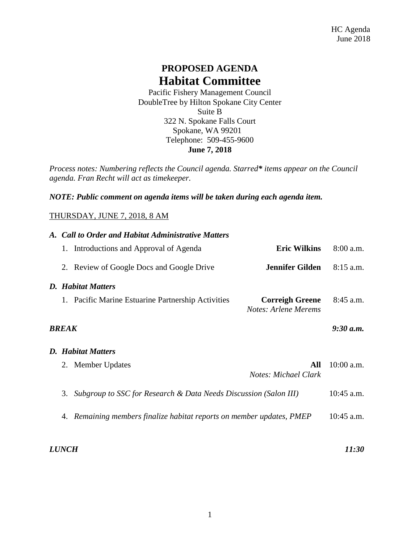## **PROPOSED AGENDA Habitat Committee**

Pacific Fishery Management Council DoubleTree by Hilton Spokane City Center Suite B 322 N. Spokane Falls Court Spokane, WA 99201 Telephone: 509-455-9600 **June 7, 2018**

*Process notes: Numbering reflects the Council agenda. Starred\* items appear on the Council agenda. Fran Recht will act as timekeeper.* 

*NOTE: Public comment on agenda items will be taken during each agenda item.*

## THURSDAY, JUNE 7, 2018, 8 AM

## *A. Call to Order and Habitat Administrative Matters* 1. Introductions and Approval of Agenda **Eric Wilkins** 8:00 a.m. 2. Review of Google Docs and Google Drive **Jennifer Gilden** 8:15 a.m. *D. Habitat Matters* 1. Pacific Marine Estuarine Partnership Activities **Correigh Greene** 8:45 a.m. *Notes: Arlene Merems BREAK 9:30 a.m. D. Habitat Matters* 2. Member Updates **All** 10:00 a.m. *Notes: Michael Clark* 3. *Subgroup to SSC for Research & Data Needs Discussion (Salon III)* 10:45 a.m. 4. *Remaining members finalize habitat reports on member updates, PMEP* 10:45 a.m.

*LUNCH 11:30*